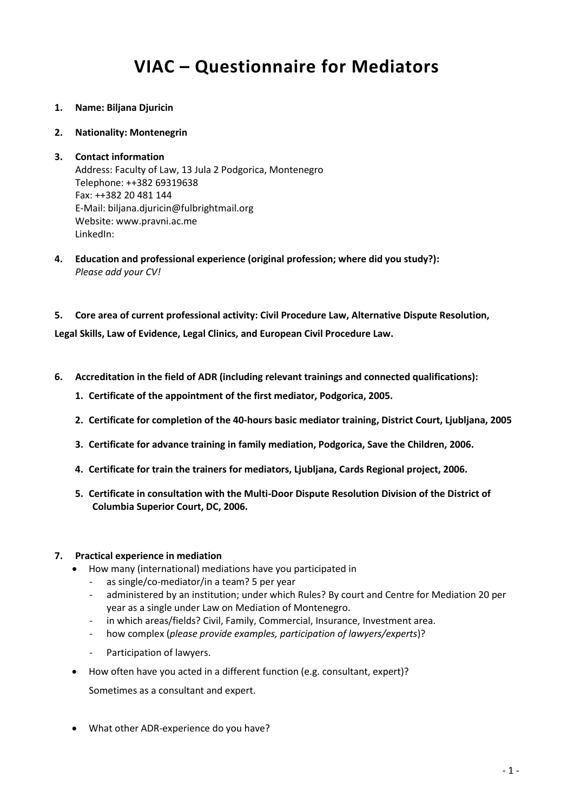# **VIAC – Questionnaire for Mediators**

- **1. Name: Biljana Djuricin**
- **2. Nationality: Montenegrin**

#### **3. Contact information** Address: Faculty of Law, 13 Jula 2 Podgorica, Montenegro Telephone: ++382 69319638 Fax: ++382 20 481 144 E-Mail: biljana.djuricin@fulbrightmail.org Website: www.pravni.ac.me LinkedIn:

- **4. Education and professional experience (original profession; where did you study?):** *Please add your CV!*
- **5. Core area of current professional activity: Civil Procedure Law, Alternative Dispute Resolution,**

**Legal Skills, Law of Evidence, Legal Clinics, and European Civil Procedure Law.**

- **6. Accreditation in the field of ADR (including relevant trainings and connected qualifications):**
	- **1. Certificate of the appointment of the first mediator, Podgorica, 2005.**
	- **2. Certificate for completion of the 40-hours basic mediator training, District Court, Ljubljana, 2005**
	- **3. Certificate for advance training in family mediation, Podgorica, Save the Children, 2006.**
	- **4. Certificate for train the trainers for mediators, Ljubljana, Cards Regional project, 2006.**
	- **5. Certificate in consultation with the Multi-Door Dispute Resolution Division of the District of Columbia Superior Court, DC, 2006.**

## **7. Practical experience in mediation**

- How many (international) mediations have you participated in
	- as single/co-mediator/in a team? 5 per year
	- administered by an institution; under which Rules? By court and Centre for Mediation 20 per year as a single under Law on Mediation of Montenegro.
	- in which areas/fields? Civil, Family, Commercial, Insurance, Investment area.
	- how complex (*please provide examples, participation of lawyers/experts*)?
	- Participation of lawyers.
- How often have you acted in a different function (e.g. consultant, expert)?

Sometimes as a consultant and expert.

What other ADR-experience do you have?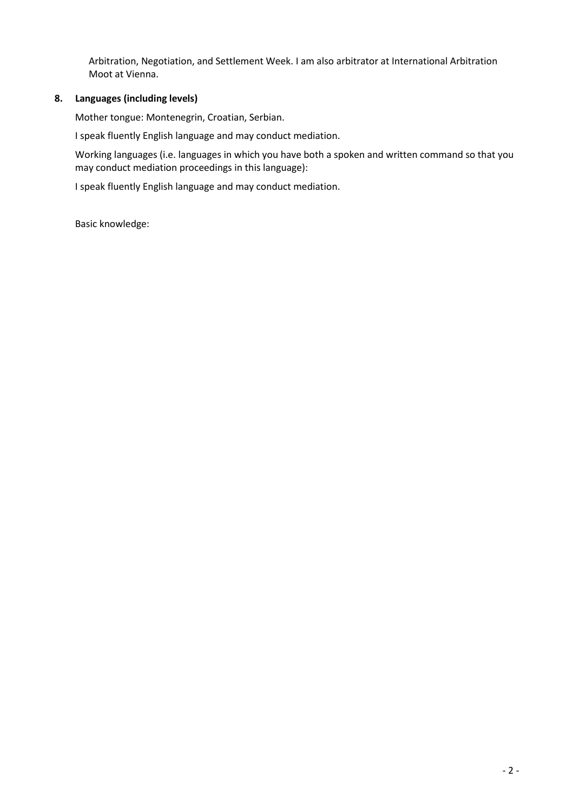Arbitration, Negotiation, and Settlement Week. I am also arbitrator at International Arbitration Moot at Vienna.

#### **8. Languages (including levels)**

Mother tongue: Montenegrin, Croatian, Serbian.

I speak fluently English language and may conduct mediation.

Working languages (i.e. languages in which you have both a spoken and written command so that you may conduct mediation proceedings in this language):

I speak fluently English language and may conduct mediation.

Basic knowledge: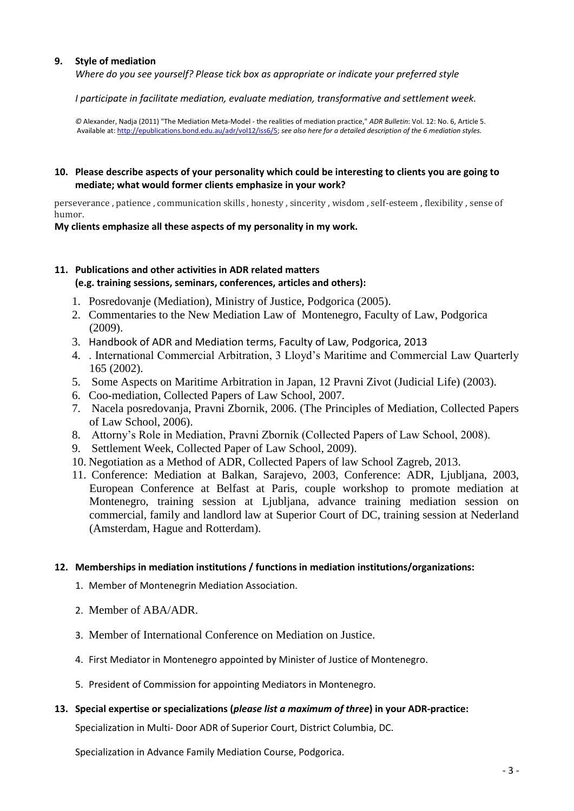#### **9. Style of mediation**

*Where do you see yourself? Please tick box as appropriate or indicate your preferred style*

*I participate in facilitate mediation, evaluate mediation, transformative and settlement week.*

*©* Alexander, Nadja (2011) "The Mediation Meta-Model - the realities of mediation practice," *ADR Bulletin*: Vol. 12: No. 6, Article 5. Available at[: http://epublications.bond.edu.au/adr/vol12/iss6/5;](http://epublications.bond.edu.au/adr/vol12/iss6/5) *see also here for a detailed description of the 6 mediation styles.*

#### **10. Please describe aspects of your personality which could be interesting to clients you are going to mediate; what would former clients emphasize in your work?**

perseverance , patience , communication skills , honesty , sincerity , wisdom , self-esteem , flexibility , sense of humor.

#### **My clients emphasize all these aspects of my personality in my work.**

## **11. Publications and other activities in ADR related matters (e.g. training sessions, seminars, conferences, articles and others):**

- 1. Posredovanje (Mediation), Ministry of Justice, Podgorica (2005).
- 2. Commentaries to the New Mediation Law of Montenegro, Faculty of Law, Podgorica (2009).
- 3. Handbook of ADR and Mediation terms, Faculty of Law, Podgorica, 2013
- 4. . International Commercial Arbitration, 3 Lloyd's Maritime and Commercial Law Quarterly 165 (2002).
- 5. Some Aspects on Maritime Arbitration in Japan, 12 Pravni Zivot (Judicial Life) (2003).
- 6. Coo-mediation, Collected Papers of Law School, 2007.
- 7. Nacela posredovanja, Pravni Zbornik, 2006. (The Principles of Mediation, Collected Papers of Law School, 2006).
- 8. Attorny's Role in Mediation, Pravni Zbornik (Collected Papers of Law School, 2008).
- 9. Settlement Week, Collected Paper of Law School, 2009).
- 10. Negotiation as a Method of ADR, Collected Papers of law School Zagreb, 2013.
- 11. Conference: Mediation at Balkan, Sarajevo, 2003, Conference: ADR, Ljubljana, 2003, European Conference at Belfast at Paris, couple workshop to promote mediation at Montenegro, training session at Ljubljana, advance training mediation session on commercial, family and landlord law at Superior Court of DC, training session at Nederland (Amsterdam, Hague and Rotterdam).

#### **12. Memberships in mediation institutions / functions in mediation institutions/organizations:**

- 1. Member of Montenegrin Mediation Association.
- 2. Member of ABA/ADR.
- 3. Member of International Conference on Mediation on Justice.
- 4. First Mediator in Montenegro appointed by Minister of Justice of Montenegro.
- 5. President of Commission for appointing Mediators in Montenegro.

#### **13. Special expertise or specializations (***please list a maximum of three***) in your ADR-practice:**

Specialization in Multi- Door ADR of Superior Court, District Columbia, DC.

Specialization in Advance Family Mediation Course, Podgorica.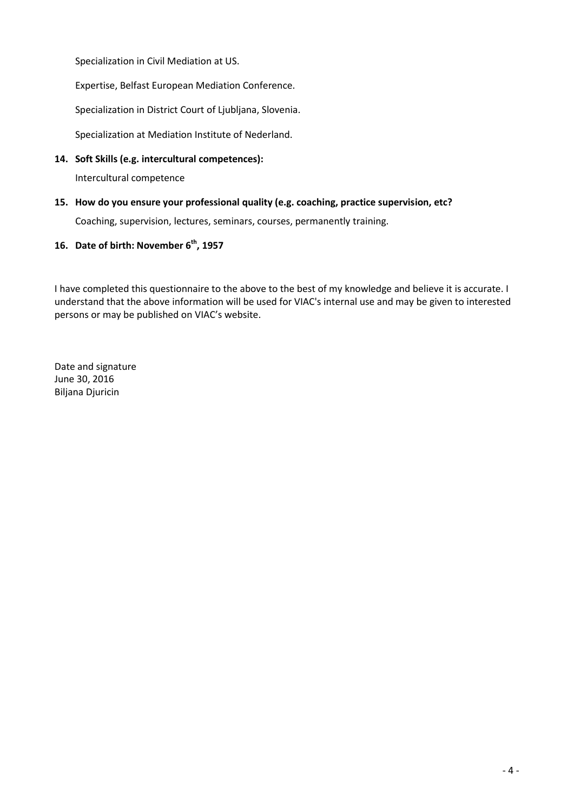Specialization in Civil Mediation at US.

Expertise, Belfast European Mediation Conference.

Specialization in District Court of Ljubljana, Slovenia.

Specialization at Mediation Institute of Nederland.

**14. Soft Skills (e.g. intercultural competences):**

Intercultural competence

**15. How do you ensure your professional quality (e.g. coaching, practice supervision, etc?**

Coaching, supervision, lectures, seminars, courses, permanently training.

## **16. Date of birth: November 6th, 1957**

I have completed this questionnaire to the above to the best of my knowledge and believe it is accurate. I understand that the above information will be used for VIAC's internal use and may be given to interested persons or may be published on VIAC's website.

Date and signature June 30, 2016 Biljana Djuricin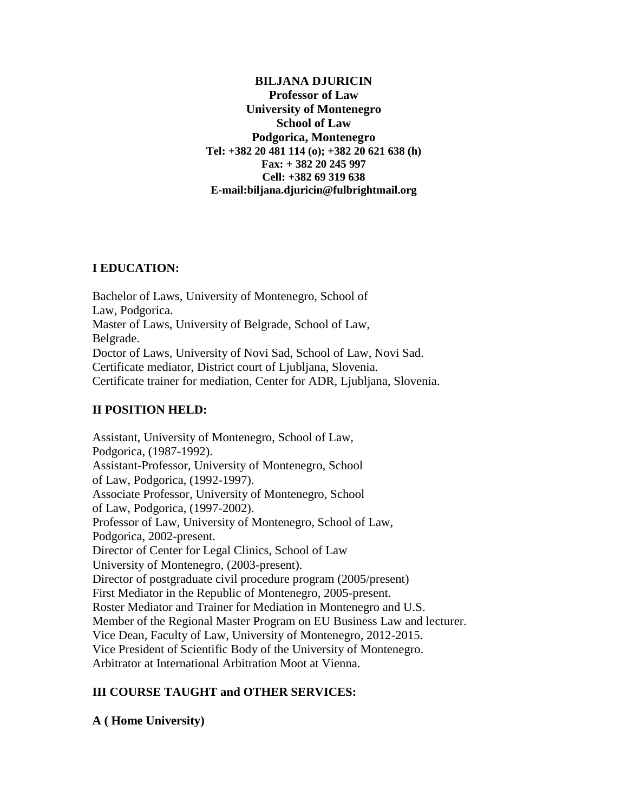**BILJANA DJURICIN Professor of Law University of Montenegro School of Law Podgorica, Montenegro Tel: +382 20 481 114 (o); +382 20 621 638 (h) Fax: + 382 20 245 997 Cell: +382 69 319 638 E-mail:biljana.djuricin@fulbrightmail.org**

# **I EDUCATION:**

Bachelor of Laws, University of Montenegro, School of Law, Podgorica. Master of Laws, University of Belgrade, School of Law, Belgrade. Doctor of Laws, University of Novi Sad, School of Law, Novi Sad. Certificate mediator, District court of Ljubljana, Slovenia. Certificate trainer for mediation, Center for ADR, Ljubljana, Slovenia.

# **II POSITION HELD:**

Assistant, University of Montenegro, School of Law, Podgorica, (1987-1992). Assistant-Professor, University of Montenegro, School of Law, Podgorica, (1992-1997). Associate Professor, University of Montenegro, School of Law, Podgorica, (1997-2002). Professor of Law, University of Montenegro, School of Law, Podgorica, 2002-present. Director of Center for Legal Clinics, School of Law University of Montenegro, (2003-present). Director of postgraduate civil procedure program (2005/present) First Mediator in the Republic of Montenegro, 2005-present. Roster Mediator and Trainer for Mediation in Montenegro and U.S. Member of the Regional Master Program on EU Business Law and lecturer. Vice Dean, Faculty of Law, University of Montenegro, 2012-2015. Vice President of Scientific Body of the University of Montenegro. Arbitrator at International Arbitration Moot at Vienna.

# **III COURSE TAUGHT and OTHER SERVICES:**

**A ( Home University)**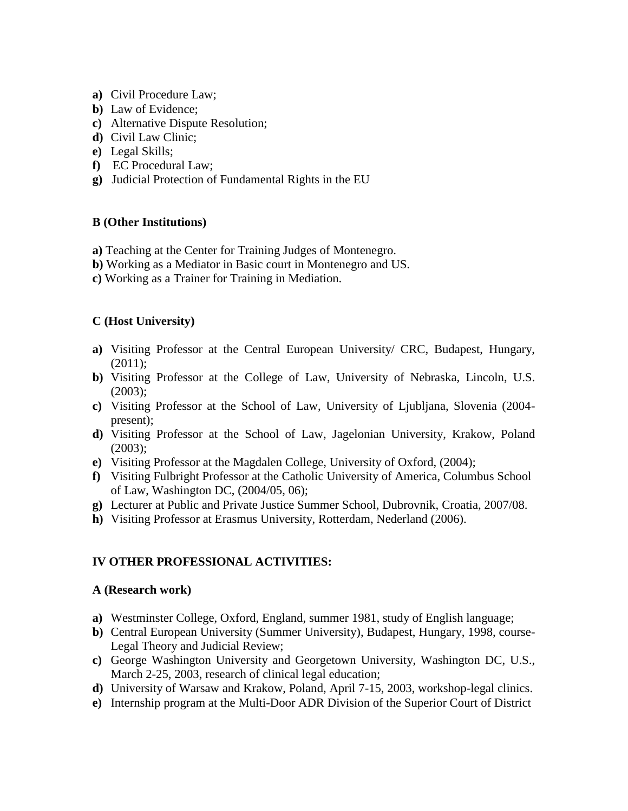- **a)** Civil Procedure Law;
- **b)** Law of Evidence;
- **c)** Alternative Dispute Resolution;
- **d)** Civil Law Clinic;
- **e)** Legal Skills;
- **f)** EC Procedural Law;
- **g)** Judicial Protection of Fundamental Rights in the EU

## **B (Other Institutions)**

- **a)** Teaching at the Center for Training Judges of Montenegro.
- **b)** Working as a Mediator in Basic court in Montenegro and US.
- **c)** Working as a Trainer for Training in Mediation.

## **C (Host University)**

- **a)** Visiting Professor at the Central European University/ CRC, Budapest, Hungary, (2011);
- **b)** Visiting Professor at the College of Law, University of Nebraska, Lincoln, U.S.  $(2003)$ :
- **c)** Visiting Professor at the School of Law, University of Ljubljana, Slovenia (2004 present);
- **d)** Visiting Professor at the School of Law, Jagelonian University, Krakow, Poland (2003);
- **e)** Visiting Professor at the Magdalen College, University of Oxford, (2004);
- **f)** Visiting Fulbright Professor at the Catholic University of America, Columbus School of Law, Washington DC, (2004/05, 06);
- **g)** Lecturer at Public and Private Justice Summer School, Dubrovnik, Croatia, 2007/08.
- **h)** Visiting Professor at Erasmus University, Rotterdam, Nederland (2006).

## **IV OTHER PROFESSIONAL ACTIVITIES:**

#### **A (Research work)**

- **a)** Westminster College, Oxford, England, summer 1981, study of English language;
- **b)** Central European University (Summer University), Budapest, Hungary, 1998, course-Legal Theory and Judicial Review;
- **c)** George Washington University and Georgetown University, Washington DC, U.S., March 2-25, 2003, research of clinical legal education;
- **d)** University of Warsaw and Krakow, Poland, April 7-15, 2003, workshop-legal clinics.
- **e)** Internship program at the Multi-Door ADR Division of the Superior Court of District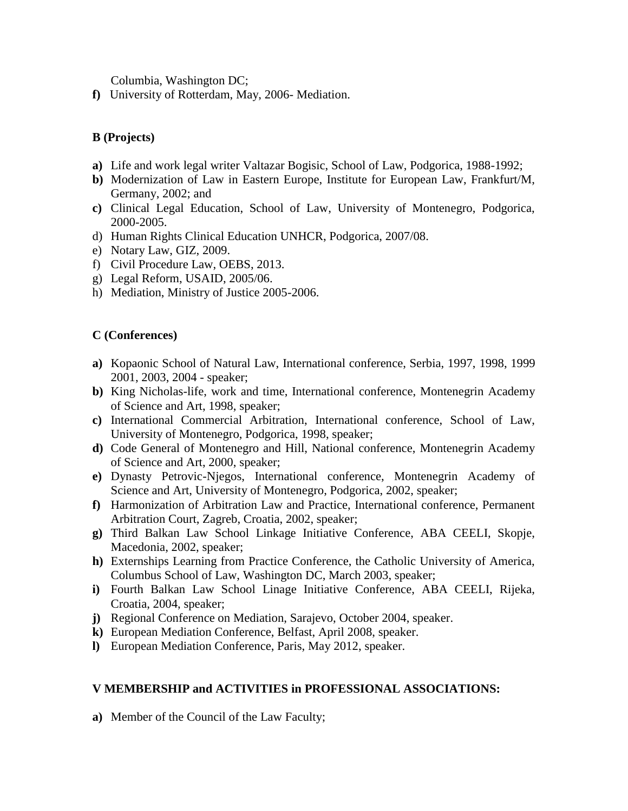Columbia, Washington DC;

**f)** University of Rotterdam, May, 2006- Mediation.

# **B (Projects)**

- **a)** Life and work legal writer Valtazar Bogisic, School of Law, Podgorica, 1988-1992;
- **b)** Modernization of Law in Eastern Europe, Institute for European Law, Frankfurt/M, Germany, 2002; and
- **c)** Clinical Legal Education, School of Law, University of Montenegro, Podgorica, 2000-2005.
- d) Human Rights Clinical Education UNHCR, Podgorica, 2007/08.
- e) Notary Law, GIZ, 2009.
- f) Civil Procedure Law, OEBS, 2013.
- g) Legal Reform, USAID, 2005/06.
- h) Mediation, Ministry of Justice 2005-2006.

# **C (Conferences)**

- **a)** Kopaonic School of Natural Law, International conference, Serbia, 1997, 1998, 1999 2001, 2003, 2004 - speaker;
- **b)** King Nicholas-life, work and time, International conference, Montenegrin Academy of Science and Art, 1998, speaker;
- **c)** International Commercial Arbitration, International conference, School of Law, University of Montenegro, Podgorica, 1998, speaker;
- **d)** Code General of Montenegro and Hill, National conference, Montenegrin Academy of Science and Art, 2000, speaker;
- **e)** Dynasty Petrovic-Njegos, International conference, Montenegrin Academy of Science and Art, University of Montenegro, Podgorica, 2002, speaker;
- **f)** Harmonization of Arbitration Law and Practice, International conference, Permanent Arbitration Court, Zagreb, Croatia, 2002, speaker;
- **g)** Third Balkan Law School Linkage Initiative Conference, ABA CEELI, Skopje, Macedonia, 2002, speaker;
- **h)** Externships Learning from Practice Conference, the Catholic University of America, Columbus School of Law, Washington DC, March 2003, speaker;
- **i)** Fourth Balkan Law School Linage Initiative Conference, ABA CEELI, Rijeka, Croatia, 2004, speaker;
- **j)** Regional Conference on Mediation, Sarajevo, October 2004, speaker.
- **k)** European Mediation Conference, Belfast, April 2008, speaker.
- **l)** European Mediation Conference, Paris, May 2012, speaker.

# **V MEMBERSHIP and ACTIVITIES in PROFESSIONAL ASSOCIATIONS:**

**a)** Member of the Council of the Law Faculty;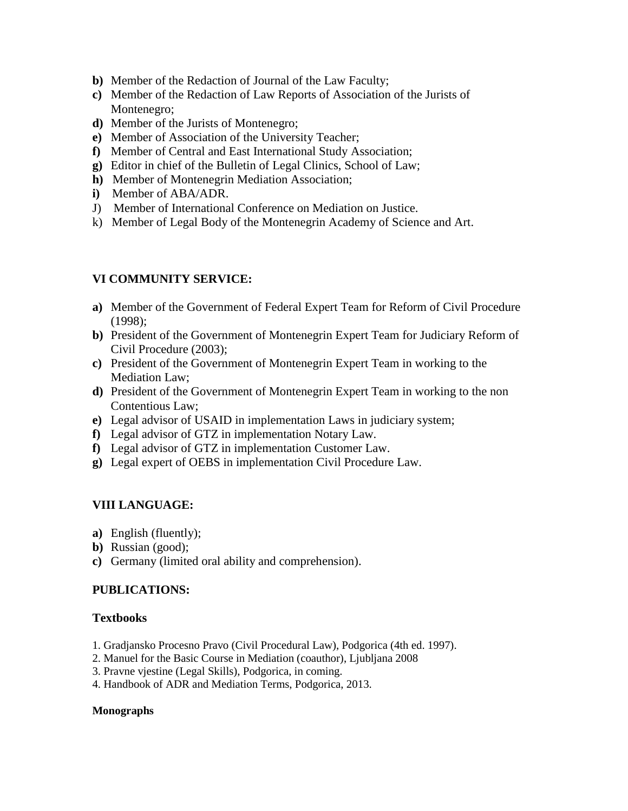- **b)** Member of the Redaction of Journal of the Law Faculty;
- **c)** Member of the Redaction of Law Reports of Association of the Jurists of Montenegro;
- **d)** Member of the Jurists of Montenegro;
- **e)** Member of Association of the University Teacher;
- **f)** Member of Central and East International Study Association;
- **g)** Editor in chief of the Bulletin of Legal Clinics, School of Law;
- **h)** Member of Montenegrin Mediation Association;
- **i)** Member of ABA/ADR.
- J) Member of International Conference on Mediation on Justice.
- k) Member of Legal Body of the Montenegrin Academy of Science and Art.

# **VI COMMUNITY SERVICE:**

- **a)** Member of the Government of Federal Expert Team for Reform of Civil Procedure (1998);
- **b)** President of the Government of Montenegrin Expert Team for Judiciary Reform of Civil Procedure (2003);
- **c)** President of the Government of Montenegrin Expert Team in working to the Mediation Law;
- **d)** President of the Government of Montenegrin Expert Team in working to the non Contentious Law;
- **e)** Legal advisor of USAID in implementation Laws in judiciary system;
- **f)** Legal advisor of GTZ in implementation Notary Law.
- **f)** Legal advisor of GTZ in implementation Customer Law.
- **g)** Legal expert of OEBS in implementation Civil Procedure Law.

# **VIII LANGUAGE:**

- **a)** English (fluently);
- **b)** Russian (good);
- **c)** Germany (limited oral ability and comprehension).

# **PUBLICATIONS:**

## **Textbooks**

- 1. Gradjansko Procesno Pravo (Civil Procedural Law), Podgorica (4th ed. 1997).
- 2. Manuel for the Basic Course in Mediation (coauthor), Ljubljana 2008
- 3. Pravne vjestine (Legal Skills), Podgorica, in coming.
- 4. Handbook of ADR and Mediation Terms, Podgorica, 2013.

#### **Monographs**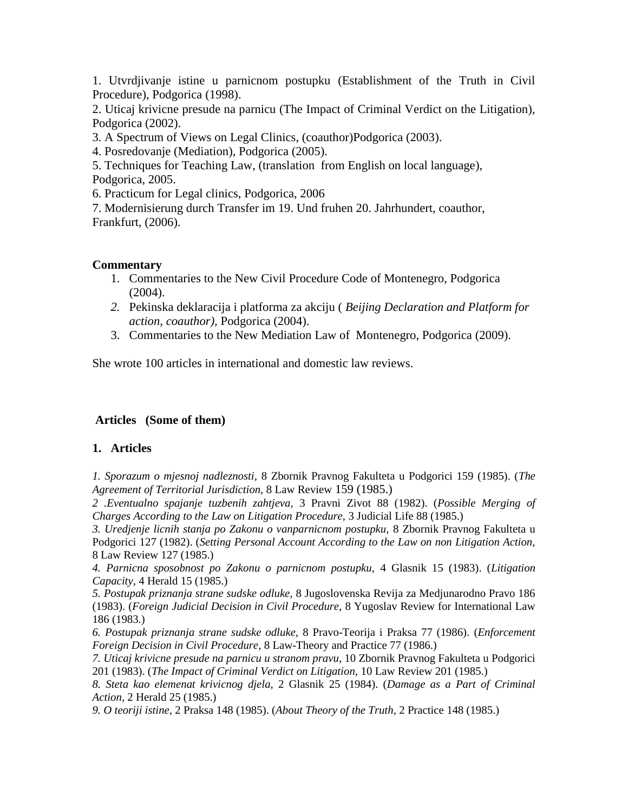1. Utvrdjivanje istine u parnicnom postupku (Establishment of the Truth in Civil Procedure), Podgorica (1998).

2. Uticaj krivicne presude na parnicu (The Impact of Criminal Verdict on the Litigation), Podgorica (2002).

3. A Spectrum of Views on Legal Clinics, (coauthor)Podgorica (2003).

4. Posredovanje (Mediation), Podgorica (2005).

5. Techniques for Teaching Law, (translation from English on local language), Podgorica, 2005.

6. Practicum for Legal clinics, Podgorica, 2006

7. Modernisierung durch Transfer im 19. Und fruhen 20. Jahrhundert, coauthor, Frankfurt, (2006).

## **Commentary**

- 1. Commentaries to the New Civil Procedure Code of Montenegro, Podgorica  $(2004)$ .
- *2.* Pekinska deklaracija i platforma za akciju ( *Beijing Declaration and Platform for action, coauthor),* Podgorica (2004).
- 3. Commentaries to the New Mediation Law of Montenegro, Podgorica (2009).

She wrote 100 articles in international and domestic law reviews.

# **Articles (Some of them)**

## **1. Articles**

*1. Sporazum o mjesnoj nadleznosti,* 8 Zbornik Pravnog Fakulteta u Podgorici 159 (1985). (*The Agreement of Territorial Jurisdiction,* 8 Law Review 159 (1985.)

*2 .Eventualno spajanje tuzbenih zahtjeva,* 3 Pravni Zivot 88 (1982). (*Possible Merging of Charges According to the Law on Litigation Procedure,* 3 Judicial Life 88 (1985.)

*3. Uredjenje licnih stanja po Zakonu o vanparnicnom postupku,* 8 Zbornik Pravnog Fakulteta u Podgorici 127 (1982). (*Setting Personal Account According to the Law on non Litigation Action,*  8 Law Review 127 (1985.)

*4. Parnicna sposobnost po Zakonu o parnicnom postupku,* 4 Glasnik 15 (1983). (*Litigation Capacity,* 4 Herald 15 (1985.)

*5. Postupak priznanja strane sudske odluke,* 8 Jugoslovenska Revija za Medjunarodno Pravo 186 (1983). (*Foreign Judicial Decision in Civil Procedure,* 8 Yugoslav Review for International Law 186 (1983.)

*6. Postupak priznanja strane sudske odluke,* 8 Pravo-Teorija i Praksa 77 (1986). (*Enforcement Foreign Decision in Civil Procedure,* 8 Law-Theory and Practice 77 (1986.)

*7. Uticaj krivicne presude na parnicu u stranom pravu,* 10 Zbornik Pravnog Fakulteta u Podgorici 201 (1983). (*The Impact of Criminal Verdict on Litigation,* 10 Law Review 201 (1985.)

*8. Steta kao elemenat krivicnog djela,* 2 Glasnik 25 (1984). (*Damage as a Part of Criminal Action,* 2 Herald 25 (1985.)

*9. O teoriji istine,* 2 Praksa 148 (1985). (*About Theory of the Truth,* 2 Practice 148 (1985.)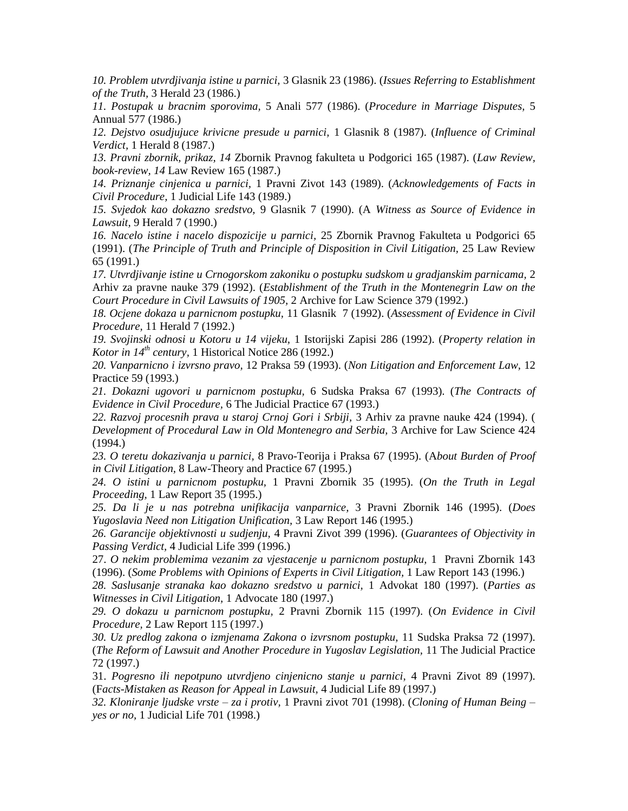*10. Problem utvrdjivanja istine u parnici,* 3 Glasnik 23 (1986). (*Issues Referring to Establishment of the Truth,* 3 Herald 23 (1986.)

*11. Postupak u bracnim sporovima,* 5 Anali 577 (1986). (*Procedure in Marriage Disputes,* 5 Annual 577 (1986.)

*12. Dejstvo osudjujuce krivicne presude u parnici,* 1 Glasnik 8 (1987). (*Influence of Criminal Verdict,* 1 Herald 8 (1987.)

*13. Pravni zbornik, prikaz, 14* Zbornik Pravnog fakulteta u Podgorici 165 (1987). (*Law Review, book-review, 14* Law Review 165 (1987.)

*14. Priznanje cinjenica u parnici,* 1 Pravni Zivot 143 (1989). (*Acknowledgements of Facts in Civil Procedure,* 1 Judicial Life 143 (1989.)

*15. Svjedok kao dokazno sredstvo,* 9 Glasnik 7 (1990). (A *Witness as Source of Evidence in Lawsuit,* 9 Herald 7 (1990.)

*16. Nacelo istine i nacelo dispozicije u parnici,* 25 Zbornik Pravnog Fakulteta u Podgorici 65 (1991). (*The Principle of Truth and Principle of Disposition in Civil Litigation,* 25 Law Review 65 (1991.)

*17. Utvrdjivanje istine u Crnogorskom zakoniku o postupku sudskom u gradjanskim parnicama,* 2 Arhiv za pravne nauke 379 (1992). (*Establishment of the Truth in the Montenegrin Law on the Court Procedure in Civil Lawsuits of 1905,* 2 Archive for Law Science 379 (1992.)

*18. Ocjene dokaza u parnicnom postupku,* 11 Glasnik 7 (1992). (*Assessment of Evidence in Civil Procedure,* 11 Herald 7 (1992.)

*19. Svojinski odnosi u Kotoru u 14 vijeku,* 1 Istorijski Zapisi 286 (1992). (*Property relation in Kotor in 14th century,* 1 Historical Notice 286 (1992.)

*20. Vanparnicno i izvrsno pravo,* 12 Praksa 59 (1993). (*Non Litigation and Enforcement Law,* 12 Practice 59 (1993.)

*21. Dokazni ugovori u parnicnom postupku,* 6 Sudska Praksa 67 (1993). (*The Contracts of Evidence in Civil Procedure,* 6 The Judicial Practice 67 (1993.)

*22. Razvoj procesnih prava u staroj Crnoj Gori i Srbiji,* 3 Arhiv za pravne nauke 424 (1994). ( *Development of Procedural Law in Old Montenegro and Serbia,* 3 Archive for Law Science 424 (1994.)

*23. O teretu dokazivanja u parnici,* 8 Pravo-Teorija i Praksa 67 (1995). (A*bout Burden of Proof in Civil Litigation,* 8 Law-Theory and Practice 67 (1995.)

*24. O istini u parnicnom postupku,* 1 Pravni Zbornik 35 (1995). (*On the Truth in Legal Proceeding,* 1 Law Report 35 (1995.)

*25. Da li je u nas potrebna unifikacija vanparnice,* 3 Pravni Zbornik 146 (1995). (*Does Yugoslavia Need non Litigation Unification,* 3 Law Report 146 (1995.)

*26. Garancije objektivnosti u sudjenju,* 4 Pravni Zivot 399 (1996). (*Guarantees of Objectivity in Passing Verdict,* 4 Judicial Life 399 (1996.)

27. *O nekim problemima vezanim za vjestacenje u parnicnom postupku,* 1 Pravni Zbornik 143 (1996). (*Some Problems with Opinions of Experts in Civil Litigation,* 1 Law Report 143 (1996.)

*28. Saslusanje stranaka kao dokazno sredstvo u parnici,* 1 Advokat 180 (1997). (*Parties as Witnesses in Civil Litigation,* 1 Advocate 180 (1997.)

*29. O dokazu u parnicnom postupku,* 2 Pravni Zbornik 115 (1997). (*On Evidence in Civil Procedure,* 2 Law Report 115 (1997.)

*30. Uz predlog zakona o izmjenama Zakona o izvrsnom postupku,* 11 Sudska Praksa 72 (1997). (*The Reform of Lawsuit and Another Procedure in Yugoslav Legislation,* 11 The Judicial Practice 72 (1997.)

31. *Pogresno ili nepotpuno utvrdjeno cinjenicno stanje u parnici,* 4 Pravni Zivot 89 (1997). (F*acts-Mistaken as Reason for Appeal in Lawsuit,* 4 Judicial Life 89 (1997.)

*32. Kloniranje ljudske vrste – za i protiv,* 1 Pravni zivot 701 (1998). (*Cloning of Human Being – yes or no,* 1 Judicial Life 701 (1998.)